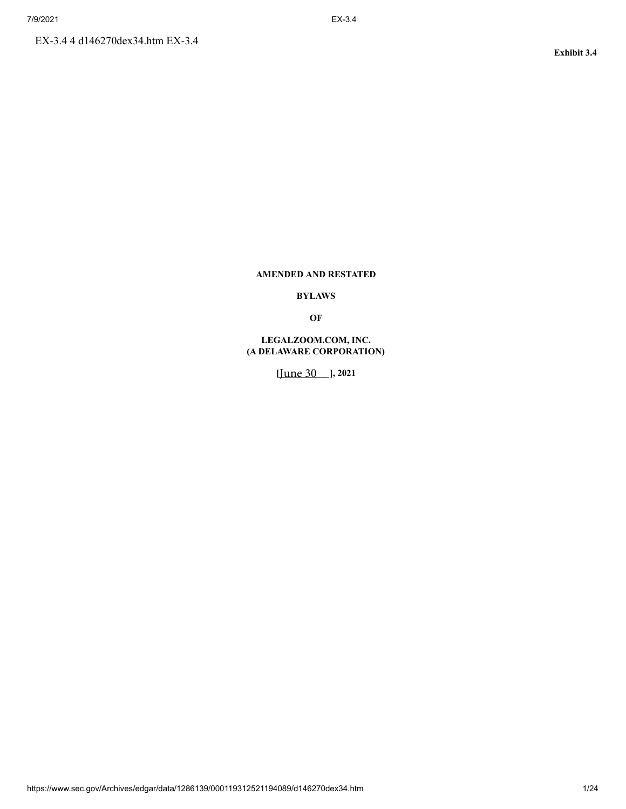# **AMENDED AND RESTATED**

# **BYLAWS**

**OF**

# **LEGALZOOM.COM, INC. (A DELAWARE CORPORATION)**

**[***\_\_\_\_\_\_\_\_\_\_\_* June 30 **], 2021**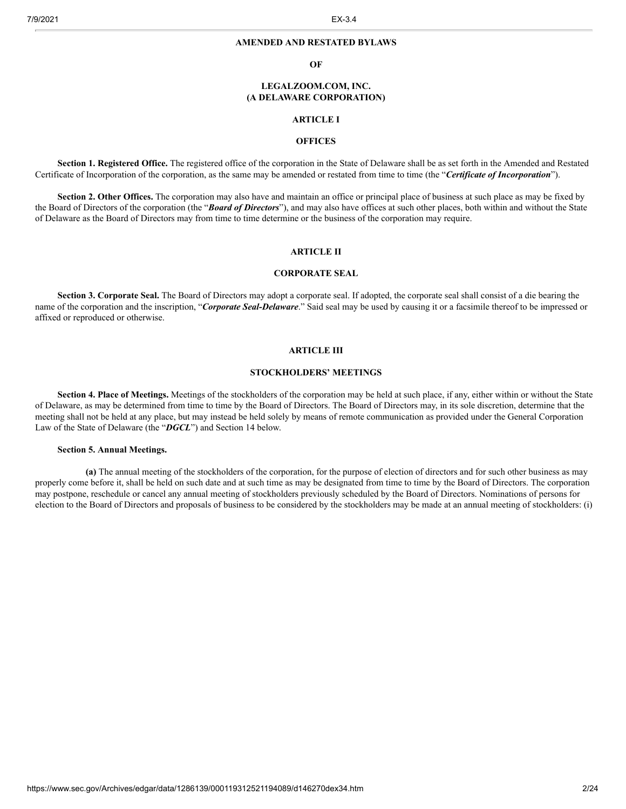#### **AMENDED AND RESTATED BYLAWS**

#### **OF**

#### **LEGALZOOM.COM, INC. (A DELAWARE CORPORATION)**

# **ARTICLE I**

# **OFFICES**

**Section 1. Registered Office.** The registered office of the corporation in the State of Delaware shall be as set forth in the Amended and Restated Certificate of Incorporation of the corporation, as the same may be amended or restated from time to time (the "*Certificate of Incorporation*").

**Section 2. Other Offices.** The corporation may also have and maintain an office or principal place of business at such place as may be fixed by the Board of Directors of the corporation (the "*Board of Directors*"), and may also have offices at such other places, both within and without the State of Delaware as the Board of Directors may from time to time determine or the business of the corporation may require.

### **ARTICLE II**

#### **CORPORATE SEAL**

**Section 3. Corporate Seal.** The Board of Directors may adopt a corporate seal. If adopted, the corporate seal shall consist of a die bearing the name of the corporation and the inscription, "*Corporate Seal-Delaware*." Said seal may be used by causing it or a facsimile thereof to be impressed or affixed or reproduced or otherwise.

#### **ARTICLE III**

#### **STOCKHOLDERS' MEETINGS**

**Section 4. Place of Meetings.** Meetings of the stockholders of the corporation may be held at such place, if any, either within or without the State of Delaware, as may be determined from time to time by the Board of Directors. The Board of Directors may, in its sole discretion, determine that the meeting shall not be held at any place, but may instead be held solely by means of remote communication as provided under the General Corporation Law of the State of Delaware (the "*DGCL*") and Section 14 below.

#### **Section 5. Annual Meetings.**

**(a)** The annual meeting of the stockholders of the corporation, for the purpose of election of directors and for such other business as may properly come before it, shall be held on such date and at such time as may be designated from time to time by the Board of Directors. The corporation may postpone, reschedule or cancel any annual meeting of stockholders previously scheduled by the Board of Directors. Nominations of persons for election to the Board of Directors and proposals of business to be considered by the stockholders may be made at an annual meeting of stockholders: (i)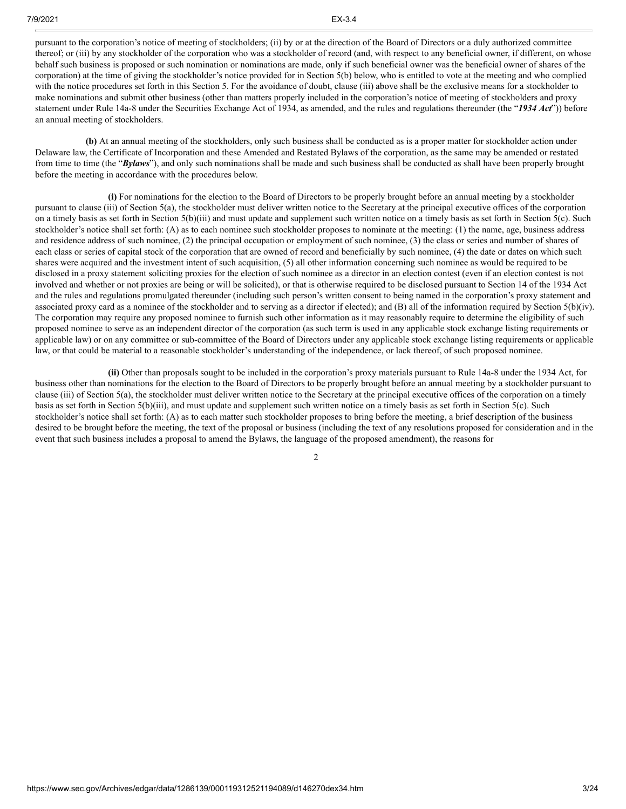pursuant to the corporation's notice of meeting of stockholders; (ii) by or at the direction of the Board of Directors or a duly authorized committee thereof; or (iii) by any stockholder of the corporation who was a stockholder of record (and, with respect to any beneficial owner, if different, on whose behalf such business is proposed or such nomination or nominations are made, only if such beneficial owner was the beneficial owner of shares of the corporation) at the time of giving the stockholder's notice provided for in Section 5(b) below, who is entitled to vote at the meeting and who complied with the notice procedures set forth in this Section 5. For the avoidance of doubt, clause (iii) above shall be the exclusive means for a stockholder to make nominations and submit other business (other than matters properly included in the corporation's notice of meeting of stockholders and proxy statement under Rule 14a-8 under the Securities Exchange Act of 1934, as amended, and the rules and regulations thereunder (the "*1934 Act*")) before an annual meeting of stockholders.

**(b)** At an annual meeting of the stockholders, only such business shall be conducted as is a proper matter for stockholder action under Delaware law, the Certificate of Incorporation and these Amended and Restated Bylaws of the corporation, as the same may be amended or restated from time to time (the "*Bylaws*"), and only such nominations shall be made and such business shall be conducted as shall have been properly brought before the meeting in accordance with the procedures below.

**(i)** For nominations for the election to the Board of Directors to be properly brought before an annual meeting by a stockholder pursuant to clause (iii) of Section 5(a), the stockholder must deliver written notice to the Secretary at the principal executive offices of the corporation on a timely basis as set forth in Section 5(b)(iii) and must update and supplement such written notice on a timely basis as set forth in Section 5(c). Such stockholder's notice shall set forth: (A) as to each nominee such stockholder proposes to nominate at the meeting: (1) the name, age, business address and residence address of such nominee, (2) the principal occupation or employment of such nominee, (3) the class or series and number of shares of each class or series of capital stock of the corporation that are owned of record and beneficially by such nominee, (4) the date or dates on which such shares were acquired and the investment intent of such acquisition, (5) all other information concerning such nominee as would be required to be disclosed in a proxy statement soliciting proxies for the election of such nominee as a director in an election contest (even if an election contest is not involved and whether or not proxies are being or will be solicited), or that is otherwise required to be disclosed pursuant to Section 14 of the 1934 Act and the rules and regulations promulgated thereunder (including such person's written consent to being named in the corporation's proxy statement and associated proxy card as a nominee of the stockholder and to serving as a director if elected); and (B) all of the information required by Section 5(b)(iv). The corporation may require any proposed nominee to furnish such other information as it may reasonably require to determine the eligibility of such proposed nominee to serve as an independent director of the corporation (as such term is used in any applicable stock exchange listing requirements or applicable law) or on any committee or sub-committee of the Board of Directors under any applicable stock exchange listing requirements or applicable law, or that could be material to a reasonable stockholder's understanding of the independence, or lack thereof, of such proposed nominee.

**(ii)** Other than proposals sought to be included in the corporation's proxy materials pursuant to Rule 14a-8 under the 1934 Act, for business other than nominations for the election to the Board of Directors to be properly brought before an annual meeting by a stockholder pursuant to clause (iii) of Section 5(a), the stockholder must deliver written notice to the Secretary at the principal executive offices of the corporation on a timely basis as set forth in Section 5(b)(iii), and must update and supplement such written notice on a timely basis as set forth in Section 5(c). Such stockholder's notice shall set forth: (A) as to each matter such stockholder proposes to bring before the meeting, a brief description of the business desired to be brought before the meeting, the text of the proposal or business (including the text of any resolutions proposed for consideration and in the event that such business includes a proposal to amend the Bylaws, the language of the proposed amendment), the reasons for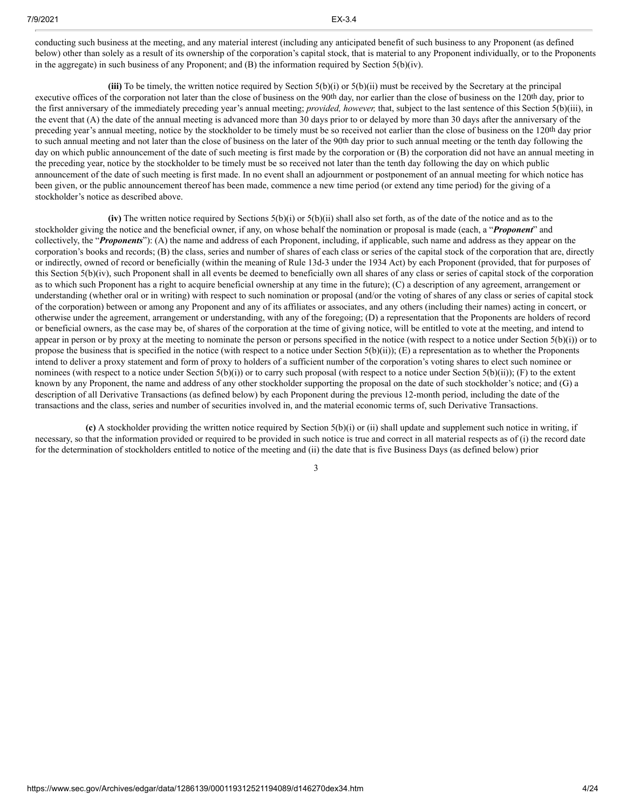conducting such business at the meeting, and any material interest (including any anticipated benefit of such business to any Proponent (as defined below) other than solely as a result of its ownership of the corporation's capital stock, that is material to any Proponent individually, or to the Proponents in the aggregate) in such business of any Proponent; and  $(B)$  the information required by Section  $5(b)(iv)$ .

**(iii)** To be timely, the written notice required by Section 5(b)(i) or 5(b)(ii) must be received by the Secretary at the principal executive offices of the corporation not later than the close of business on the 90th day, nor earlier than the close of business on the 120th day, prior to the first anniversary of the immediately preceding year's annual meeting; *provided, however,* that, subject to the last sentence of this Section 5(b)(iii), in the event that (A) the date of the annual meeting is advanced more than 30 days prior to or delayed by more than 30 days after the anniversary of the preceding year's annual meeting, notice by the stockholder to be timely must be so received not earlier than the close of business on the 120th day prior to such annual meeting and not later than the close of business on the later of the 90th day prior to such annual meeting or the tenth day following the day on which public announcement of the date of such meeting is first made by the corporation or (B) the corporation did not have an annual meeting in the preceding year, notice by the stockholder to be timely must be so received not later than the tenth day following the day on which public announcement of the date of such meeting is first made. In no event shall an adjournment or postponement of an annual meeting for which notice has been given, or the public announcement thereof has been made, commence a new time period (or extend any time period) for the giving of a stockholder's notice as described above.

**(iv)** The written notice required by Sections 5(b)(i) or 5(b)(ii) shall also set forth, as of the date of the notice and as to the stockholder giving the notice and the beneficial owner, if any, on whose behalf the nomination or proposal is made (each, a "*Proponent*" and collectively, the "*Proponents*"): (A) the name and address of each Proponent, including, if applicable, such name and address as they appear on the corporation's books and records; (B) the class, series and number of shares of each class or series of the capital stock of the corporation that are, directly or indirectly, owned of record or beneficially (within the meaning of Rule 13d-3 under the 1934 Act) by each Proponent (provided, that for purposes of this Section 5(b)(iv), such Proponent shall in all events be deemed to beneficially own all shares of any class or series of capital stock of the corporation as to which such Proponent has a right to acquire beneficial ownership at any time in the future); (C) a description of any agreement, arrangement or understanding (whether oral or in writing) with respect to such nomination or proposal (and/or the voting of shares of any class or series of capital stock of the corporation) between or among any Proponent and any of its affiliates or associates, and any others (including their names) acting in concert, or otherwise under the agreement, arrangement or understanding, with any of the foregoing; (D) a representation that the Proponents are holders of record or beneficial owners, as the case may be, of shares of the corporation at the time of giving notice, will be entitled to vote at the meeting, and intend to appear in person or by proxy at the meeting to nominate the person or persons specified in the notice (with respect to a notice under Section  $5(b)(i)$ ) or to propose the business that is specified in the notice (with respect to a notice under Section  $5(b)(ii)$ ); (E) a representation as to whether the Proponents intend to deliver a proxy statement and form of proxy to holders of a sufficient number of the corporation's voting shares to elect such nominee or nominees (with respect to a notice under Section 5(b)(i)) or to carry such proposal (with respect to a notice under Section 5(b)(ii)); (F) to the extent known by any Proponent, the name and address of any other stockholder supporting the proposal on the date of such stockholder's notice; and (G) a description of all Derivative Transactions (as defined below) by each Proponent during the previous 12-month period, including the date of the transactions and the class, series and number of securities involved in, and the material economic terms of, such Derivative Transactions.

**(c)** A stockholder providing the written notice required by Section 5(b)(i) or (ii) shall update and supplement such notice in writing, if necessary, so that the information provided or required to be provided in such notice is true and correct in all material respects as of (i) the record date for the determination of stockholders entitled to notice of the meeting and (ii) the date that is five Business Days (as defined below) prior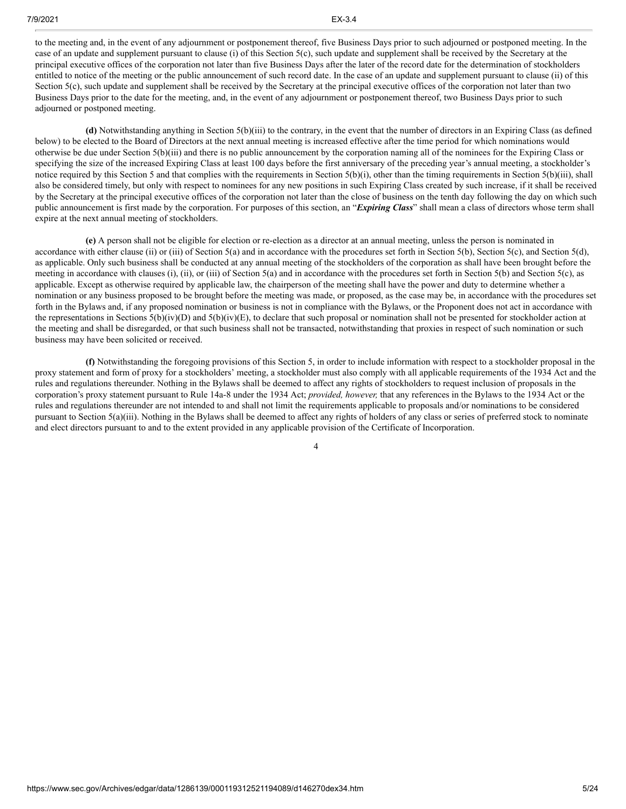to the meeting and, in the event of any adjournment or postponement thereof, five Business Days prior to such adjourned or postponed meeting. In the case of an update and supplement pursuant to clause (i) of this Section 5(c), such update and supplement shall be received by the Secretary at the principal executive offices of the corporation not later than five Business Days after the later of the record date for the determination of stockholders entitled to notice of the meeting or the public announcement of such record date. In the case of an update and supplement pursuant to clause (ii) of this Section 5(c), such update and supplement shall be received by the Secretary at the principal executive offices of the corporation not later than two Business Days prior to the date for the meeting, and, in the event of any adjournment or postponement thereof, two Business Days prior to such adjourned or postponed meeting.

**(d)** Notwithstanding anything in Section 5(b)(iii) to the contrary, in the event that the number of directors in an Expiring Class (as defined below) to be elected to the Board of Directors at the next annual meeting is increased effective after the time period for which nominations would otherwise be due under Section 5(b)(iii) and there is no public announcement by the corporation naming all of the nominees for the Expiring Class or specifying the size of the increased Expiring Class at least 100 days before the first anniversary of the preceding year's annual meeting, a stockholder's notice required by this Section 5 and that complies with the requirements in Section 5(b)(i), other than the timing requirements in Section 5(b)(iii), shall also be considered timely, but only with respect to nominees for any new positions in such Expiring Class created by such increase, if it shall be received by the Secretary at the principal executive offices of the corporation not later than the close of business on the tenth day following the day on which such public announcement is first made by the corporation. For purposes of this section, an "*Expiring Class*" shall mean a class of directors whose term shall expire at the next annual meeting of stockholders.

**(e)** A person shall not be eligible for election or re-election as a director at an annual meeting, unless the person is nominated in accordance with either clause (ii) or (iii) of Section 5(a) and in accordance with the procedures set forth in Section 5(b), Section 5(c), and Section 5(d), as applicable. Only such business shall be conducted at any annual meeting of the stockholders of the corporation as shall have been brought before the meeting in accordance with clauses (i), (ii), or (iii) of Section 5(a) and in accordance with the procedures set forth in Section 5(b) and Section 5(c), as applicable. Except as otherwise required by applicable law, the chairperson of the meeting shall have the power and duty to determine whether a nomination or any business proposed to be brought before the meeting was made, or proposed, as the case may be, in accordance with the procedures set forth in the Bylaws and, if any proposed nomination or business is not in compliance with the Bylaws, or the Proponent does not act in accordance with the representations in Sections  $5(b)(iv)(D)$  and  $5(b)(iv)(E)$ , to declare that such proposal or nomination shall not be presented for stockholder action at the meeting and shall be disregarded, or that such business shall not be transacted, notwithstanding that proxies in respect of such nomination or such business may have been solicited or received.

**(f)** Notwithstanding the foregoing provisions of this Section 5, in order to include information with respect to a stockholder proposal in the proxy statement and form of proxy for a stockholders' meeting, a stockholder must also comply with all applicable requirements of the 1934 Act and the rules and regulations thereunder. Nothing in the Bylaws shall be deemed to affect any rights of stockholders to request inclusion of proposals in the corporation's proxy statement pursuant to Rule 14a-8 under the 1934 Act; *provided, however,* that any references in the Bylaws to the 1934 Act or the rules and regulations thereunder are not intended to and shall not limit the requirements applicable to proposals and/or nominations to be considered pursuant to Section 5(a)(iii). Nothing in the Bylaws shall be deemed to affect any rights of holders of any class or series of preferred stock to nominate and elect directors pursuant to and to the extent provided in any applicable provision of the Certificate of Incorporation.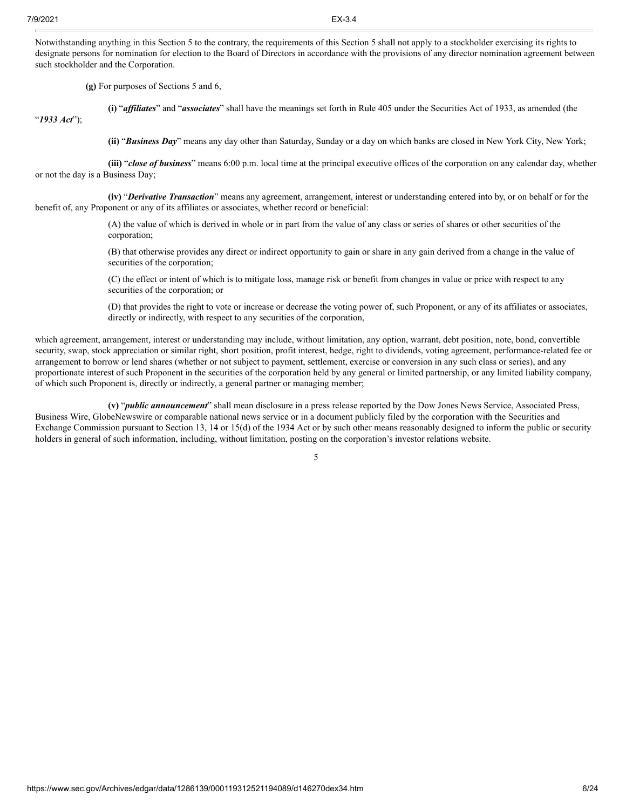"*1933 Act*");

Notwithstanding anything in this Section 5 to the contrary, the requirements of this Section 5 shall not apply to a stockholder exercising its rights to designate persons for nomination for election to the Board of Directors in accordance with the provisions of any director nomination agreement between such stockholder and the Corporation.

**(g)** For purposes of Sections 5 and 6,

**(i)** "*affiliates*" and "*associates*" shall have the meanings set forth in Rule 405 under the Securities Act of 1933, as amended (the

**(ii)** "*Business Day*" means any day other than Saturday, Sunday or a day on which banks are closed in New York City, New York;

**(iii)** "*close of business*" means 6:00 p.m. local time at the principal executive offices of the corporation on any calendar day, whether or not the day is a Business Day;

**(iv)** "*Derivative Transaction*" means any agreement, arrangement, interest or understanding entered into by, or on behalf or for the benefit of, any Proponent or any of its affiliates or associates, whether record or beneficial:

> (A) the value of which is derived in whole or in part from the value of any class or series of shares or other securities of the corporation;

(B) that otherwise provides any direct or indirect opportunity to gain or share in any gain derived from a change in the value of securities of the corporation;

(C) the effect or intent of which is to mitigate loss, manage risk or benefit from changes in value or price with respect to any securities of the corporation; or

(D) that provides the right to vote or increase or decrease the voting power of, such Proponent, or any of its affiliates or associates, directly or indirectly, with respect to any securities of the corporation,

which agreement, arrangement, interest or understanding may include, without limitation, any option, warrant, debt position, note, bond, convertible security, swap, stock appreciation or similar right, short position, profit interest, hedge, right to dividends, voting agreement, performance-related fee or arrangement to borrow or lend shares (whether or not subject to payment, settlement, exercise or conversion in any such class or series), and any proportionate interest of such Proponent in the securities of the corporation held by any general or limited partnership, or any limited liability company, of which such Proponent is, directly or indirectly, a general partner or managing member;

**(v)** "*public announcement*" shall mean disclosure in a press release reported by the Dow Jones News Service, Associated Press, Business Wire, GlobeNewswire or comparable national news service or in a document publicly filed by the corporation with the Securities and Exchange Commission pursuant to Section 13, 14 or 15(d) of the 1934 Act or by such other means reasonably designed to inform the public or security holders in general of such information, including, without limitation, posting on the corporation's investor relations website.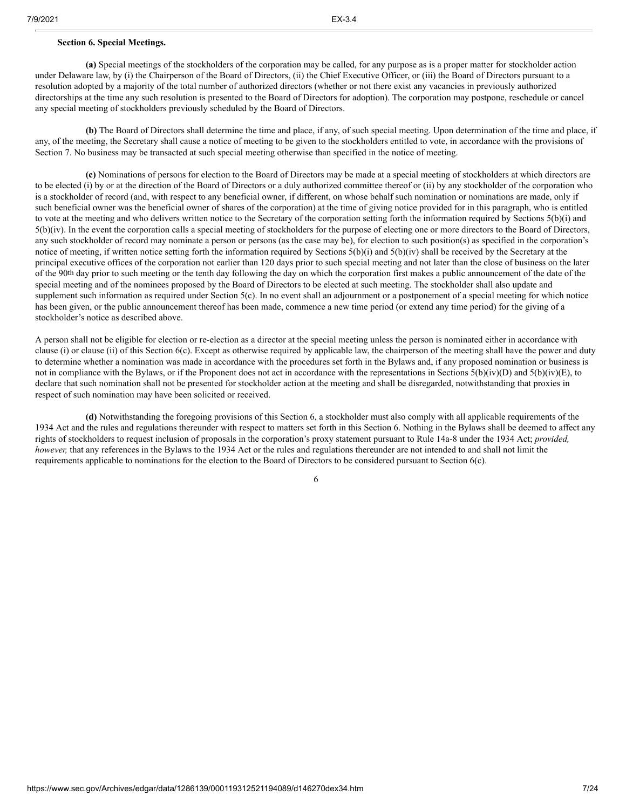any special meeting of stockholders previously scheduled by the Board of Directors.

**(b)** The Board of Directors shall determine the time and place, if any, of such special meeting. Upon determination of the time and place, if any, of the meeting, the Secretary shall cause a notice of meeting to be given to the stockholders entitled to vote, in accordance with the provisions of Section 7. No business may be transacted at such special meeting otherwise than specified in the notice of meeting.

**(c)** Nominations of persons for election to the Board of Directors may be made at a special meeting of stockholders at which directors are to be elected (i) by or at the direction of the Board of Directors or a duly authorized committee thereof or (ii) by any stockholder of the corporation who is a stockholder of record (and, with respect to any beneficial owner, if different, on whose behalf such nomination or nominations are made, only if such beneficial owner was the beneficial owner of shares of the corporation) at the time of giving notice provided for in this paragraph, who is entitled to vote at the meeting and who delivers written notice to the Secretary of the corporation setting forth the information required by Sections 5(b)(i) and 5(b)(iv). In the event the corporation calls a special meeting of stockholders for the purpose of electing one or more directors to the Board of Directors, any such stockholder of record may nominate a person or persons (as the case may be), for election to such position(s) as specified in the corporation's notice of meeting, if written notice setting forth the information required by Sections 5(b)(i) and 5(b)(iv) shall be received by the Secretary at the principal executive offices of the corporation not earlier than 120 days prior to such special meeting and not later than the close of business on the later of the 90th day prior to such meeting or the tenth day following the day on which the corporation first makes a public announcement of the date of the special meeting and of the nominees proposed by the Board of Directors to be elected at such meeting. The stockholder shall also update and supplement such information as required under Section 5(c). In no event shall an adjournment or a postponement of a special meeting for which notice has been given, or the public announcement thereof has been made, commence a new time period (or extend any time period) for the giving of a stockholder's notice as described above.

A person shall not be eligible for election or re-election as a director at the special meeting unless the person is nominated either in accordance with clause (i) or clause (ii) of this Section 6(c). Except as otherwise required by applicable law, the chairperson of the meeting shall have the power and duty to determine whether a nomination was made in accordance with the procedures set forth in the Bylaws and, if any proposed nomination or business is not in compliance with the Bylaws, or if the Proponent does not act in accordance with the representations in Sections 5(b)(iv)(D) and 5(b)(iv)(E), to declare that such nomination shall not be presented for stockholder action at the meeting and shall be disregarded, notwithstanding that proxies in respect of such nomination may have been solicited or received.

**(d)** Notwithstanding the foregoing provisions of this Section 6, a stockholder must also comply with all applicable requirements of the 1934 Act and the rules and regulations thereunder with respect to matters set forth in this Section 6. Nothing in the Bylaws shall be deemed to affect any rights of stockholders to request inclusion of proposals in the corporation's proxy statement pursuant to Rule 14a-8 under the 1934 Act; *provided, however,* that any references in the Bylaws to the 1934 Act or the rules and regulations thereunder are not intended to and shall not limit the requirements applicable to nominations for the election to the Board of Directors to be considered pursuant to Section 6(c).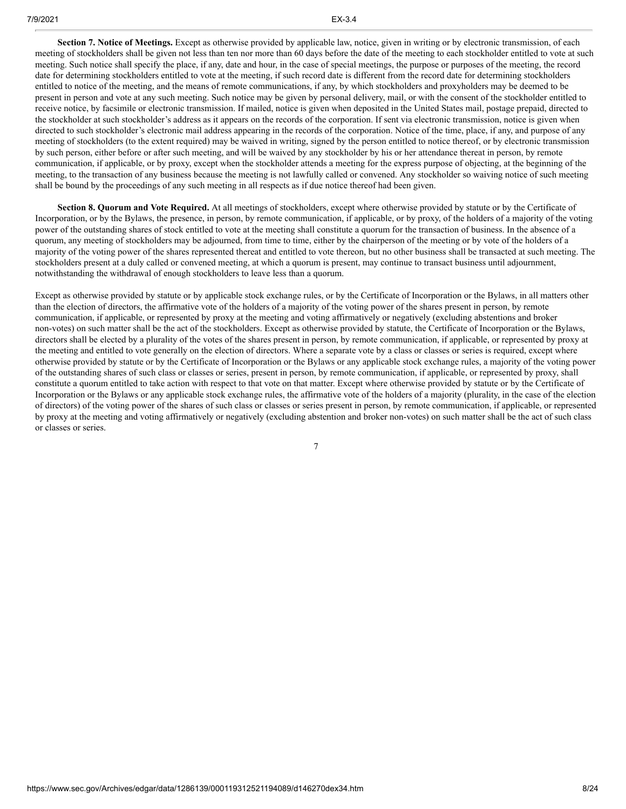**Section 7. Notice of Meetings.** Except as otherwise provided by applicable law, notice, given in writing or by electronic transmission, of each meeting of stockholders shall be given not less than ten nor more than 60 days before the date of the meeting to each stockholder entitled to vote at such meeting. Such notice shall specify the place, if any, date and hour, in the case of special meetings, the purpose or purposes of the meeting, the record date for determining stockholders entitled to vote at the meeting, if such record date is different from the record date for determining stockholders entitled to notice of the meeting, and the means of remote communications, if any, by which stockholders and proxyholders may be deemed to be present in person and vote at any such meeting. Such notice may be given by personal delivery, mail, or with the consent of the stockholder entitled to receive notice, by facsimile or electronic transmission. If mailed, notice is given when deposited in the United States mail, postage prepaid, directed to the stockholder at such stockholder's address as it appears on the records of the corporation. If sent via electronic transmission, notice is given when directed to such stockholder's electronic mail address appearing in the records of the corporation. Notice of the time, place, if any, and purpose of any meeting of stockholders (to the extent required) may be waived in writing, signed by the person entitled to notice thereof, or by electronic transmission by such person, either before or after such meeting, and will be waived by any stockholder by his or her attendance thereat in person, by remote communication, if applicable, or by proxy, except when the stockholder attends a meeting for the express purpose of objecting, at the beginning of the meeting, to the transaction of any business because the meeting is not lawfully called or convened. Any stockholder so waiving notice of such meeting shall be bound by the proceedings of any such meeting in all respects as if due notice thereof had been given.

**Section 8. Quorum and Vote Required.** At all meetings of stockholders, except where otherwise provided by statute or by the Certificate of Incorporation, or by the Bylaws, the presence, in person, by remote communication, if applicable, or by proxy, of the holders of a majority of the voting power of the outstanding shares of stock entitled to vote at the meeting shall constitute a quorum for the transaction of business. In the absence of a quorum, any meeting of stockholders may be adjourned, from time to time, either by the chairperson of the meeting or by vote of the holders of a majority of the voting power of the shares represented thereat and entitled to vote thereon, but no other business shall be transacted at such meeting. The stockholders present at a duly called or convened meeting, at which a quorum is present, may continue to transact business until adjournment, notwithstanding the withdrawal of enough stockholders to leave less than a quorum.

Except as otherwise provided by statute or by applicable stock exchange rules, or by the Certificate of Incorporation or the Bylaws, in all matters other than the election of directors, the affirmative vote of the holders of a majority of the voting power of the shares present in person, by remote communication, if applicable, or represented by proxy at the meeting and voting affirmatively or negatively (excluding abstentions and broker non-votes) on such matter shall be the act of the stockholders. Except as otherwise provided by statute, the Certificate of Incorporation or the Bylaws, directors shall be elected by a plurality of the votes of the shares present in person, by remote communication, if applicable, or represented by proxy at the meeting and entitled to vote generally on the election of directors. Where a separate vote by a class or classes or series is required, except where otherwise provided by statute or by the Certificate of Incorporation or the Bylaws or any applicable stock exchange rules, a majority of the voting power of the outstanding shares of such class or classes or series, present in person, by remote communication, if applicable, or represented by proxy, shall constitute a quorum entitled to take action with respect to that vote on that matter. Except where otherwise provided by statute or by the Certificate of Incorporation or the Bylaws or any applicable stock exchange rules, the affirmative vote of the holders of a majority (plurality, in the case of the election of directors) of the voting power of the shares of such class or classes or series present in person, by remote communication, if applicable, or represented by proxy at the meeting and voting affirmatively or negatively (excluding abstention and broker non-votes) on such matter shall be the act of such class or classes or series.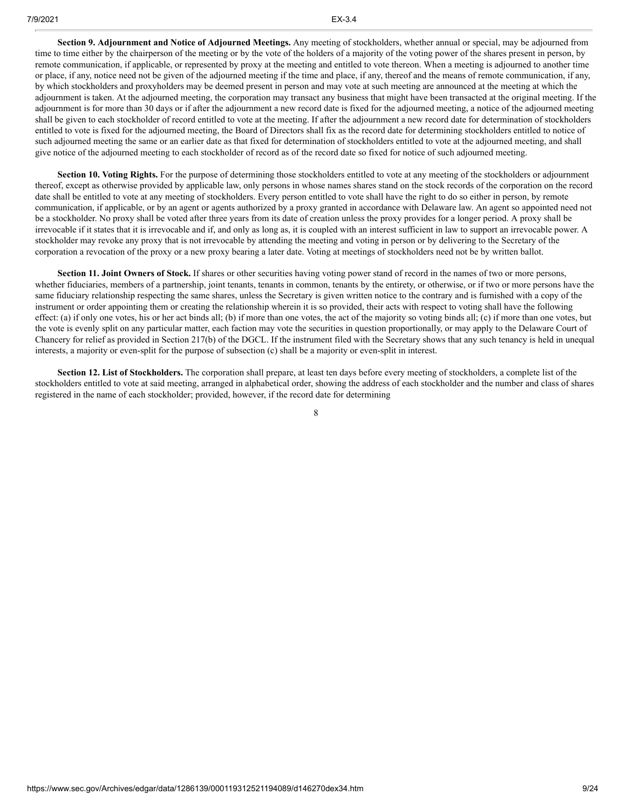**Section 9. Adjournment and Notice of Adjourned Meetings.** Any meeting of stockholders, whether annual or special, may be adjourned from time to time either by the chairperson of the meeting or by the vote of the holders of a majority of the voting power of the shares present in person, by remote communication, if applicable, or represented by proxy at the meeting and entitled to vote thereon. When a meeting is adjourned to another time or place, if any, notice need not be given of the adjourned meeting if the time and place, if any, thereof and the means of remote communication, if any, by which stockholders and proxyholders may be deemed present in person and may vote at such meeting are announced at the meeting at which the adjournment is taken. At the adjourned meeting, the corporation may transact any business that might have been transacted at the original meeting. If the adjournment is for more than 30 days or if after the adjournment a new record date is fixed for the adjourned meeting, a notice of the adjourned meeting shall be given to each stockholder of record entitled to vote at the meeting. If after the adjournment a new record date for determination of stockholders entitled to vote is fixed for the adjourned meeting, the Board of Directors shall fix as the record date for determining stockholders entitled to notice of such adjourned meeting the same or an earlier date as that fixed for determination of stockholders entitled to vote at the adjourned meeting, and shall give notice of the adjourned meeting to each stockholder of record as of the record date so fixed for notice of such adjourned meeting.

**Section 10. Voting Rights.** For the purpose of determining those stockholders entitled to vote at any meeting of the stockholders or adjournment thereof, except as otherwise provided by applicable law, only persons in whose names shares stand on the stock records of the corporation on the record date shall be entitled to vote at any meeting of stockholders. Every person entitled to vote shall have the right to do so either in person, by remote communication, if applicable, or by an agent or agents authorized by a proxy granted in accordance with Delaware law. An agent so appointed need not be a stockholder. No proxy shall be voted after three years from its date of creation unless the proxy provides for a longer period. A proxy shall be irrevocable if it states that it is irrevocable and if, and only as long as, it is coupled with an interest sufficient in law to support an irrevocable power. A stockholder may revoke any proxy that is not irrevocable by attending the meeting and voting in person or by delivering to the Secretary of the corporation a revocation of the proxy or a new proxy bearing a later date. Voting at meetings of stockholders need not be by written ballot.

**Section 11. Joint Owners of Stock.** If shares or other securities having voting power stand of record in the names of two or more persons, whether fiduciaries, members of a partnership, joint tenants, tenants in common, tenants by the entirety, or otherwise, or if two or more persons have the same fiduciary relationship respecting the same shares, unless the Secretary is given written notice to the contrary and is furnished with a copy of the instrument or order appointing them or creating the relationship wherein it is so provided, their acts with respect to voting shall have the following effect: (a) if only one votes, his or her act binds all; (b) if more than one votes, the act of the majority so voting binds all; (c) if more than one votes, but the vote is evenly split on any particular matter, each faction may vote the securities in question proportionally, or may apply to the Delaware Court of Chancery for relief as provided in Section 217(b) of the DGCL. If the instrument filed with the Secretary shows that any such tenancy is held in unequal interests, a majority or even-split for the purpose of subsection (c) shall be a majority or even-split in interest.

**Section 12. List of Stockholders.** The corporation shall prepare, at least ten days before every meeting of stockholders, a complete list of the stockholders entitled to vote at said meeting, arranged in alphabetical order, showing the address of each stockholder and the number and class of shares registered in the name of each stockholder; provided, however, if the record date for determining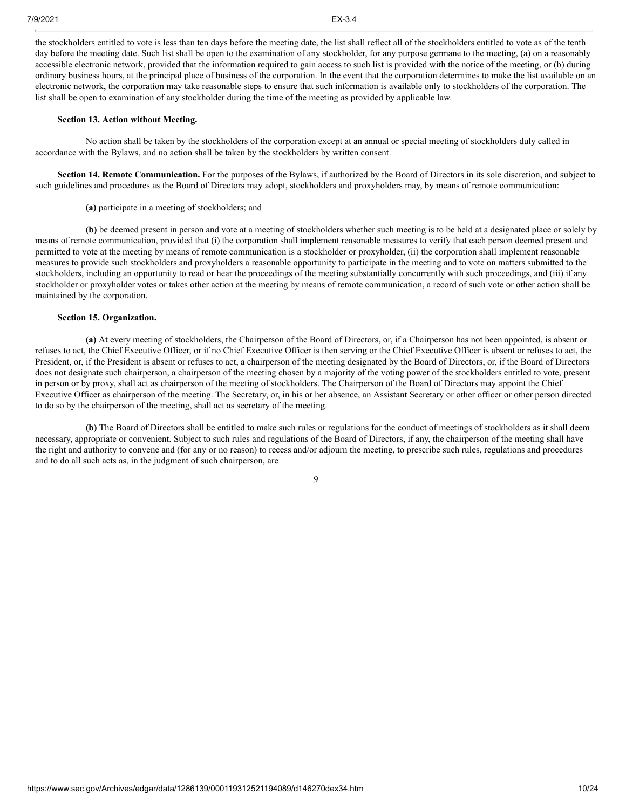the stockholders entitled to vote is less than ten days before the meeting date, the list shall reflect all of the stockholders entitled to vote as of the tenth day before the meeting date. Such list shall be open to the examination of any stockholder, for any purpose germane to the meeting, (a) on a reasonably accessible electronic network, provided that the information required to gain access to such list is provided with the notice of the meeting, or (b) during ordinary business hours, at the principal place of business of the corporation. In the event that the corporation determines to make the list available on an electronic network, the corporation may take reasonable steps to ensure that such information is available only to stockholders of the corporation. The list shall be open to examination of any stockholder during the time of the meeting as provided by applicable law.

#### **Section 13. Action without Meeting.**

No action shall be taken by the stockholders of the corporation except at an annual or special meeting of stockholders duly called in accordance with the Bylaws, and no action shall be taken by the stockholders by written consent.

**Section 14. Remote Communication.** For the purposes of the Bylaws, if authorized by the Board of Directors in its sole discretion, and subject to such guidelines and procedures as the Board of Directors may adopt, stockholders and proxyholders may, by means of remote communication:

# **(a)** participate in a meeting of stockholders; and

**(b)** be deemed present in person and vote at a meeting of stockholders whether such meeting is to be held at a designated place or solely by means of remote communication, provided that (i) the corporation shall implement reasonable measures to verify that each person deemed present and permitted to vote at the meeting by means of remote communication is a stockholder or proxyholder, (ii) the corporation shall implement reasonable measures to provide such stockholders and proxyholders a reasonable opportunity to participate in the meeting and to vote on matters submitted to the stockholders, including an opportunity to read or hear the proceedings of the meeting substantially concurrently with such proceedings, and (iii) if any stockholder or proxyholder votes or takes other action at the meeting by means of remote communication, a record of such vote or other action shall be maintained by the corporation.

#### **Section 15. Organization.**

**(a)** At every meeting of stockholders, the Chairperson of the Board of Directors, or, if a Chairperson has not been appointed, is absent or refuses to act, the Chief Executive Officer, or if no Chief Executive Officer is then serving or the Chief Executive Officer is absent or refuses to act, the President, or, if the President is absent or refuses to act, a chairperson of the meeting designated by the Board of Directors, or, if the Board of Directors does not designate such chairperson, a chairperson of the meeting chosen by a majority of the voting power of the stockholders entitled to vote, present in person or by proxy, shall act as chairperson of the meeting of stockholders. The Chairperson of the Board of Directors may appoint the Chief Executive Officer as chairperson of the meeting. The Secretary, or, in his or her absence, an Assistant Secretary or other officer or other person directed to do so by the chairperson of the meeting, shall act as secretary of the meeting.

**(b)** The Board of Directors shall be entitled to make such rules or regulations for the conduct of meetings of stockholders as it shall deem necessary, appropriate or convenient. Subject to such rules and regulations of the Board of Directors, if any, the chairperson of the meeting shall have the right and authority to convene and (for any or no reason) to recess and/or adjourn the meeting, to prescribe such rules, regulations and procedures and to do all such acts as, in the judgment of such chairperson, are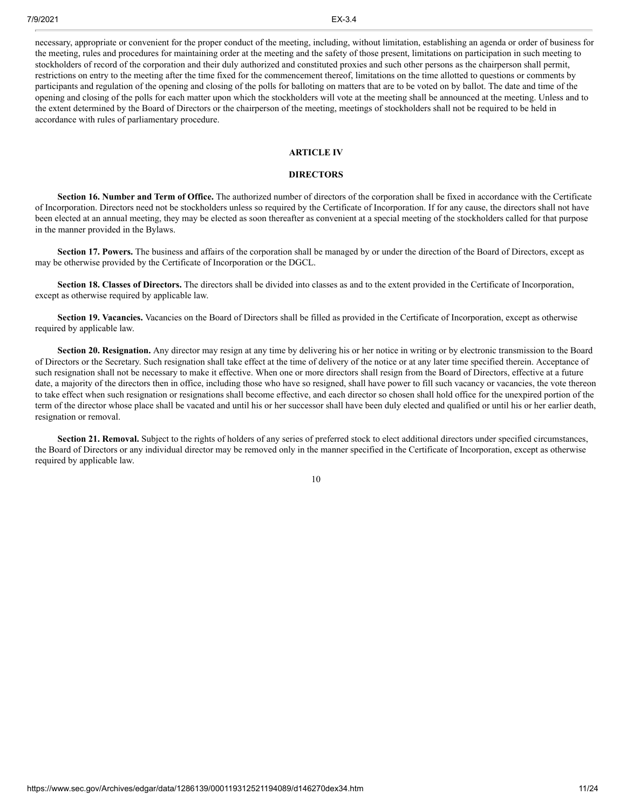necessary, appropriate or convenient for the proper conduct of the meeting, including, without limitation, establishing an agenda or order of business for the meeting, rules and procedures for maintaining order at the meeting and the safety of those present, limitations on participation in such meeting to stockholders of record of the corporation and their duly authorized and constituted proxies and such other persons as the chairperson shall permit, restrictions on entry to the meeting after the time fixed for the commencement thereof, limitations on the time allotted to questions or comments by participants and regulation of the opening and closing of the polls for balloting on matters that are to be voted on by ballot. The date and time of the opening and closing of the polls for each matter upon which the stockholders will vote at the meeting shall be announced at the meeting. Unless and to the extent determined by the Board of Directors or the chairperson of the meeting, meetings of stockholders shall not be required to be held in accordance with rules of parliamentary procedure.

### **ARTICLE IV**

### **DIRECTORS**

**Section 16. Number and Term of Office.** The authorized number of directors of the corporation shall be fixed in accordance with the Certificate of Incorporation. Directors need not be stockholders unless so required by the Certificate of Incorporation. If for any cause, the directors shall not have been elected at an annual meeting, they may be elected as soon thereafter as convenient at a special meeting of the stockholders called for that purpose in the manner provided in the Bylaws.

**Section 17. Powers.** The business and affairs of the corporation shall be managed by or under the direction of the Board of Directors, except as may be otherwise provided by the Certificate of Incorporation or the DGCL.

**Section 18. Classes of Directors.** The directors shall be divided into classes as and to the extent provided in the Certificate of Incorporation, except as otherwise required by applicable law.

**Section 19. Vacancies.** Vacancies on the Board of Directors shall be filled as provided in the Certificate of Incorporation, except as otherwise required by applicable law.

**Section 20. Resignation.** Any director may resign at any time by delivering his or her notice in writing or by electronic transmission to the Board of Directors or the Secretary. Such resignation shall take effect at the time of delivery of the notice or at any later time specified therein. Acceptance of such resignation shall not be necessary to make it effective. When one or more directors shall resign from the Board of Directors, effective at a future date, a majority of the directors then in office, including those who have so resigned, shall have power to fill such vacancy or vacancies, the vote thereon to take effect when such resignation or resignations shall become effective, and each director so chosen shall hold office for the unexpired portion of the term of the director whose place shall be vacated and until his or her successor shall have been duly elected and qualified or until his or her earlier death, resignation or removal.

**Section 21. Removal.** Subject to the rights of holders of any series of preferred stock to elect additional directors under specified circumstances, the Board of Directors or any individual director may be removed only in the manner specified in the Certificate of Incorporation, except as otherwise required by applicable law.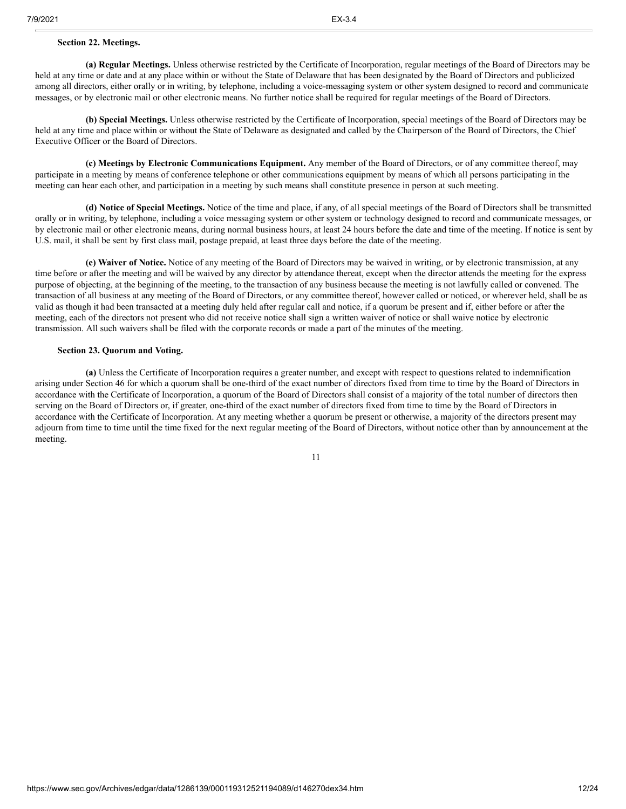#### **Section 22. Meetings.**

**(a) Regular Meetings.** Unless otherwise restricted by the Certificate of Incorporation, regular meetings of the Board of Directors may be held at any time or date and at any place within or without the State of Delaware that has been designated by the Board of Directors and publicized among all directors, either orally or in writing, by telephone, including a voice-messaging system or other system designed to record and communicate messages, or by electronic mail or other electronic means. No further notice shall be required for regular meetings of the Board of Directors.

**(b) Special Meetings.** Unless otherwise restricted by the Certificate of Incorporation, special meetings of the Board of Directors may be held at any time and place within or without the State of Delaware as designated and called by the Chairperson of the Board of Directors, the Chief Executive Officer or the Board of Directors.

**(c) Meetings by Electronic Communications Equipment.** Any member of the Board of Directors, or of any committee thereof, may participate in a meeting by means of conference telephone or other communications equipment by means of which all persons participating in the meeting can hear each other, and participation in a meeting by such means shall constitute presence in person at such meeting.

**(d) Notice of Special Meetings.** Notice of the time and place, if any, of all special meetings of the Board of Directors shall be transmitted orally or in writing, by telephone, including a voice messaging system or other system or technology designed to record and communicate messages, or by electronic mail or other electronic means, during normal business hours, at least 24 hours before the date and time of the meeting. If notice is sent by U.S. mail, it shall be sent by first class mail, postage prepaid, at least three days before the date of the meeting.

**(e) Waiver of Notice.** Notice of any meeting of the Board of Directors may be waived in writing, or by electronic transmission, at any time before or after the meeting and will be waived by any director by attendance thereat, except when the director attends the meeting for the express purpose of objecting, at the beginning of the meeting, to the transaction of any business because the meeting is not lawfully called or convened. The transaction of all business at any meeting of the Board of Directors, or any committee thereof, however called or noticed, or wherever held, shall be as valid as though it had been transacted at a meeting duly held after regular call and notice, if a quorum be present and if, either before or after the meeting, each of the directors not present who did not receive notice shall sign a written waiver of notice or shall waive notice by electronic transmission. All such waivers shall be filed with the corporate records or made a part of the minutes of the meeting.

## **Section 23. Quorum and Voting.**

**(a)** Unless the Certificate of Incorporation requires a greater number, and except with respect to questions related to indemnification arising under Section 46 for which a quorum shall be one-third of the exact number of directors fixed from time to time by the Board of Directors in accordance with the Certificate of Incorporation, a quorum of the Board of Directors shall consist of a majority of the total number of directors then serving on the Board of Directors or, if greater, one-third of the exact number of directors fixed from time to time by the Board of Directors in accordance with the Certificate of Incorporation. At any meeting whether a quorum be present or otherwise, a majority of the directors present may adjourn from time to time until the time fixed for the next regular meeting of the Board of Directors, without notice other than by announcement at the meeting.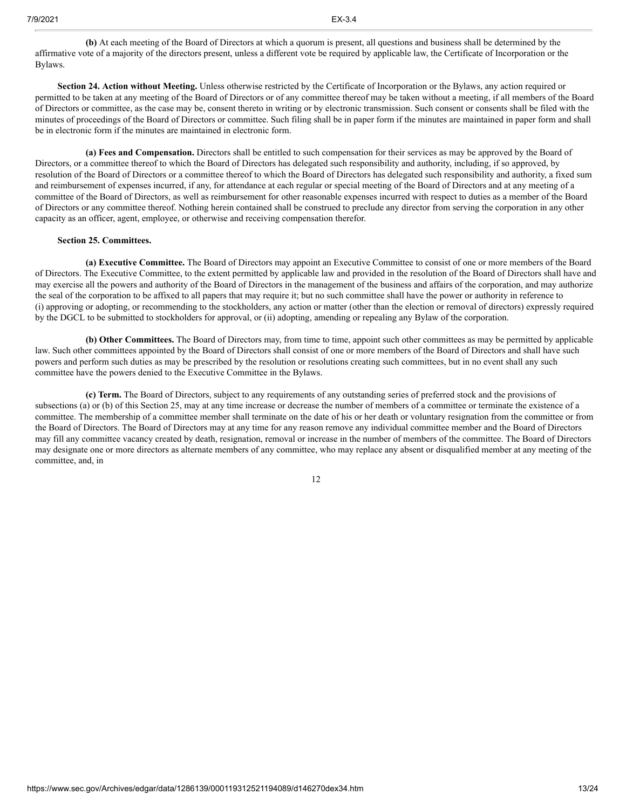**(b)** At each meeting of the Board of Directors at which a quorum is present, all questions and business shall be determined by the affirmative vote of a majority of the directors present, unless a different vote be required by applicable law, the Certificate of Incorporation or the Bylaws.

**Section 24. Action without Meeting.** Unless otherwise restricted by the Certificate of Incorporation or the Bylaws, any action required or permitted to be taken at any meeting of the Board of Directors or of any committee thereof may be taken without a meeting, if all members of the Board of Directors or committee, as the case may be, consent thereto in writing or by electronic transmission. Such consent or consents shall be filed with the minutes of proceedings of the Board of Directors or committee. Such filing shall be in paper form if the minutes are maintained in paper form and shall be in electronic form if the minutes are maintained in electronic form.

**(a) Fees and Compensation.** Directors shall be entitled to such compensation for their services as may be approved by the Board of Directors, or a committee thereof to which the Board of Directors has delegated such responsibility and authority, including, if so approved, by resolution of the Board of Directors or a committee thereof to which the Board of Directors has delegated such responsibility and authority, a fixed sum and reimbursement of expenses incurred, if any, for attendance at each regular or special meeting of the Board of Directors and at any meeting of a committee of the Board of Directors, as well as reimbursement for other reasonable expenses incurred with respect to duties as a member of the Board of Directors or any committee thereof. Nothing herein contained shall be construed to preclude any director from serving the corporation in any other capacity as an officer, agent, employee, or otherwise and receiving compensation therefor.

#### **Section 25. Committees.**

**(a) Executive Committee.** The Board of Directors may appoint an Executive Committee to consist of one or more members of the Board of Directors. The Executive Committee, to the extent permitted by applicable law and provided in the resolution of the Board of Directors shall have and may exercise all the powers and authority of the Board of Directors in the management of the business and affairs of the corporation, and may authorize the seal of the corporation to be affixed to all papers that may require it; but no such committee shall have the power or authority in reference to (i) approving or adopting, or recommending to the stockholders, any action or matter (other than the election or removal of directors) expressly required by the DGCL to be submitted to stockholders for approval, or (ii) adopting, amending or repealing any Bylaw of the corporation.

**(b) Other Committees.** The Board of Directors may, from time to time, appoint such other committees as may be permitted by applicable law. Such other committees appointed by the Board of Directors shall consist of one or more members of the Board of Directors and shall have such powers and perform such duties as may be prescribed by the resolution or resolutions creating such committees, but in no event shall any such committee have the powers denied to the Executive Committee in the Bylaws.

**(c) Term.** The Board of Directors, subject to any requirements of any outstanding series of preferred stock and the provisions of subsections (a) or (b) of this Section 25, may at any time increase or decrease the number of members of a committee or terminate the existence of a committee. The membership of a committee member shall terminate on the date of his or her death or voluntary resignation from the committee or from the Board of Directors. The Board of Directors may at any time for any reason remove any individual committee member and the Board of Directors may fill any committee vacancy created by death, resignation, removal or increase in the number of members of the committee. The Board of Directors may designate one or more directors as alternate members of any committee, who may replace any absent or disqualified member at any meeting of the committee, and, in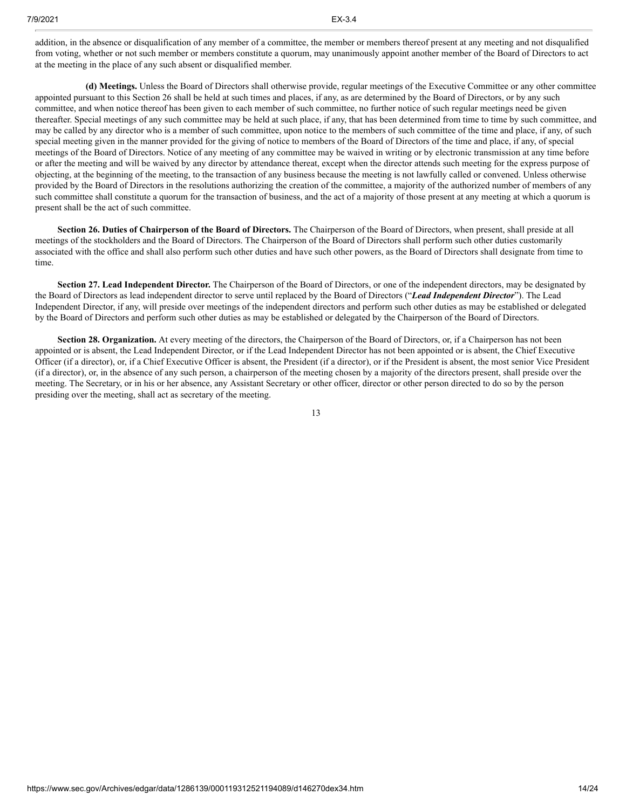addition, in the absence or disqualification of any member of a committee, the member or members thereof present at any meeting and not disqualified from voting, whether or not such member or members constitute a quorum, may unanimously appoint another member of the Board of Directors to act at the meeting in the place of any such absent or disqualified member.

**(d) Meetings.** Unless the Board of Directors shall otherwise provide, regular meetings of the Executive Committee or any other committee appointed pursuant to this Section 26 shall be held at such times and places, if any, as are determined by the Board of Directors, or by any such committee, and when notice thereof has been given to each member of such committee, no further notice of such regular meetings need be given thereafter. Special meetings of any such committee may be held at such place, if any, that has been determined from time to time by such committee, and may be called by any director who is a member of such committee, upon notice to the members of such committee of the time and place, if any, of such special meeting given in the manner provided for the giving of notice to members of the Board of Directors of the time and place, if any, of special meetings of the Board of Directors. Notice of any meeting of any committee may be waived in writing or by electronic transmission at any time before or after the meeting and will be waived by any director by attendance thereat, except when the director attends such meeting for the express purpose of objecting, at the beginning of the meeting, to the transaction of any business because the meeting is not lawfully called or convened. Unless otherwise provided by the Board of Directors in the resolutions authorizing the creation of the committee, a majority of the authorized number of members of any such committee shall constitute a quorum for the transaction of business, and the act of a majority of those present at any meeting at which a quorum is present shall be the act of such committee.

**Section 26. Duties of Chairperson of the Board of Directors.** The Chairperson of the Board of Directors, when present, shall preside at all meetings of the stockholders and the Board of Directors. The Chairperson of the Board of Directors shall perform such other duties customarily associated with the office and shall also perform such other duties and have such other powers, as the Board of Directors shall designate from time to time.

**Section 27. Lead Independent Director.** The Chairperson of the Board of Directors, or one of the independent directors, may be designated by the Board of Directors as lead independent director to serve until replaced by the Board of Directors ("*Lead Independent Director*"). The Lead Independent Director, if any, will preside over meetings of the independent directors and perform such other duties as may be established or delegated by the Board of Directors and perform such other duties as may be established or delegated by the Chairperson of the Board of Directors.

**Section 28. Organization.** At every meeting of the directors, the Chairperson of the Board of Directors, or, if a Chairperson has not been appointed or is absent, the Lead Independent Director, or if the Lead Independent Director has not been appointed or is absent, the Chief Executive Officer (if a director), or, if a Chief Executive Officer is absent, the President (if a director), or if the President is absent, the most senior Vice President (if a director), or, in the absence of any such person, a chairperson of the meeting chosen by a majority of the directors present, shall preside over the meeting. The Secretary, or in his or her absence, any Assistant Secretary or other officer, director or other person directed to do so by the person presiding over the meeting, shall act as secretary of the meeting.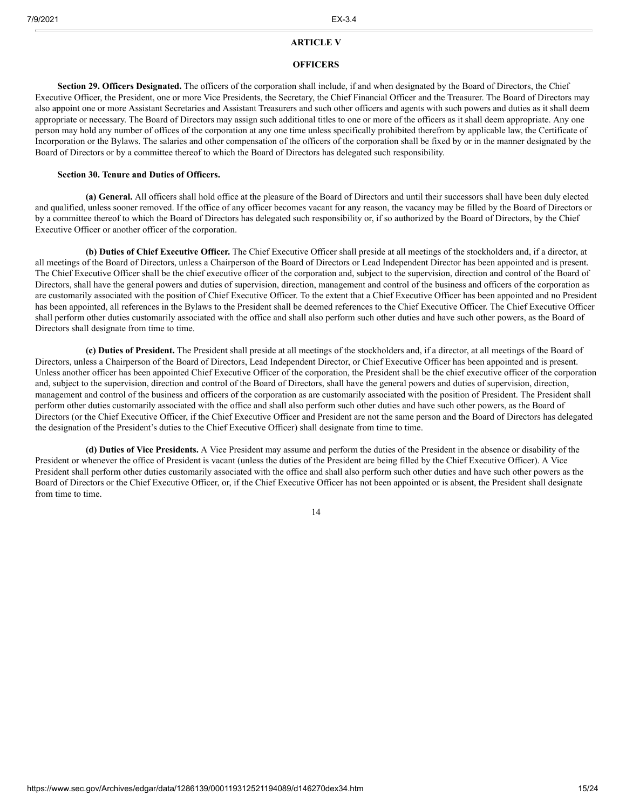#### **ARTICLE V**

#### **OFFICERS**

**Section 29. Officers Designated.** The officers of the corporation shall include, if and when designated by the Board of Directors, the Chief Executive Officer, the President, one or more Vice Presidents, the Secretary, the Chief Financial Officer and the Treasurer. The Board of Directors may also appoint one or more Assistant Secretaries and Assistant Treasurers and such other officers and agents with such powers and duties as it shall deem appropriate or necessary. The Board of Directors may assign such additional titles to one or more of the officers as it shall deem appropriate. Any one person may hold any number of offices of the corporation at any one time unless specifically prohibited therefrom by applicable law, the Certificate of Incorporation or the Bylaws. The salaries and other compensation of the officers of the corporation shall be fixed by or in the manner designated by the Board of Directors or by a committee thereof to which the Board of Directors has delegated such responsibility.

## **Section 30. Tenure and Duties of Officers.**

**(a) General.** All officers shall hold office at the pleasure of the Board of Directors and until their successors shall have been duly elected and qualified, unless sooner removed. If the office of any officer becomes vacant for any reason, the vacancy may be filled by the Board of Directors or by a committee thereof to which the Board of Directors has delegated such responsibility or, if so authorized by the Board of Directors, by the Chief Executive Officer or another officer of the corporation.

**(b) Duties of Chief Executive Officer.** The Chief Executive Officer shall preside at all meetings of the stockholders and, if a director, at all meetings of the Board of Directors, unless a Chairperson of the Board of Directors or Lead Independent Director has been appointed and is present. The Chief Executive Officer shall be the chief executive officer of the corporation and, subject to the supervision, direction and control of the Board of Directors, shall have the general powers and duties of supervision, direction, management and control of the business and officers of the corporation as are customarily associated with the position of Chief Executive Officer. To the extent that a Chief Executive Officer has been appointed and no President has been appointed, all references in the Bylaws to the President shall be deemed references to the Chief Executive Officer. The Chief Executive Officer shall perform other duties customarily associated with the office and shall also perform such other duties and have such other powers, as the Board of Directors shall designate from time to time.

**(c) Duties of President.** The President shall preside at all meetings of the stockholders and, if a director, at all meetings of the Board of Directors, unless a Chairperson of the Board of Directors, Lead Independent Director, or Chief Executive Officer has been appointed and is present. Unless another officer has been appointed Chief Executive Officer of the corporation, the President shall be the chief executive officer of the corporation and, subject to the supervision, direction and control of the Board of Directors, shall have the general powers and duties of supervision, direction, management and control of the business and officers of the corporation as are customarily associated with the position of President. The President shall perform other duties customarily associated with the office and shall also perform such other duties and have such other powers, as the Board of Directors (or the Chief Executive Officer, if the Chief Executive Officer and President are not the same person and the Board of Directors has delegated the designation of the President's duties to the Chief Executive Officer) shall designate from time to time.

**(d) Duties of Vice Presidents.** A Vice President may assume and perform the duties of the President in the absence or disability of the President or whenever the office of President is vacant (unless the duties of the President are being filled by the Chief Executive Officer). A Vice President shall perform other duties customarily associated with the office and shall also perform such other duties and have such other powers as the Board of Directors or the Chief Executive Officer, or, if the Chief Executive Officer has not been appointed or is absent, the President shall designate from time to time.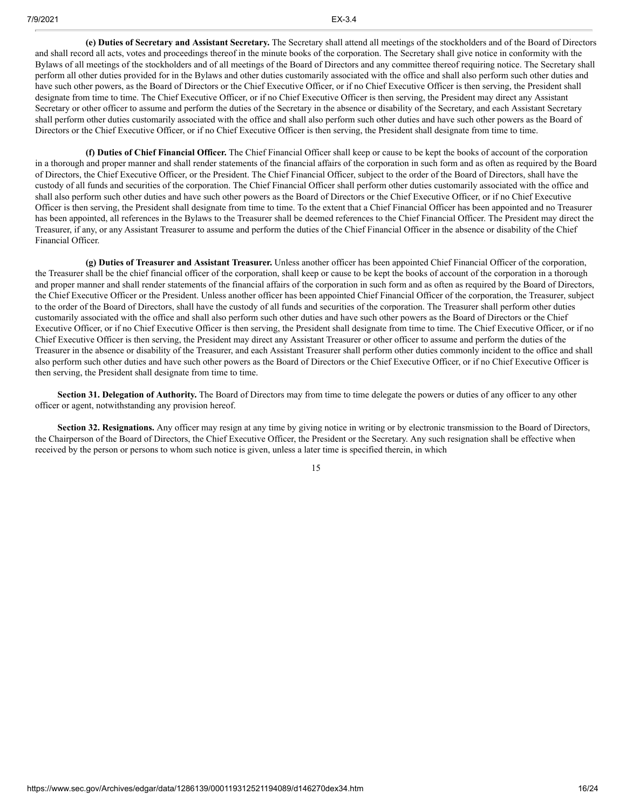**(e) Duties of Secretary and Assistant Secretary.** The Secretary shall attend all meetings of the stockholders and of the Board of Directors and shall record all acts, votes and proceedings thereof in the minute books of the corporation. The Secretary shall give notice in conformity with the Bylaws of all meetings of the stockholders and of all meetings of the Board of Directors and any committee thereof requiring notice. The Secretary shall perform all other duties provided for in the Bylaws and other duties customarily associated with the office and shall also perform such other duties and have such other powers, as the Board of Directors or the Chief Executive Officer, or if no Chief Executive Officer is then serving, the President shall designate from time to time. The Chief Executive Officer, or if no Chief Executive Officer is then serving, the President may direct any Assistant Secretary or other officer to assume and perform the duties of the Secretary in the absence or disability of the Secretary, and each Assistant Secretary shall perform other duties customarily associated with the office and shall also perform such other duties and have such other powers as the Board of Directors or the Chief Executive Officer, or if no Chief Executive Officer is then serving, the President shall designate from time to time.

**(f) Duties of Chief Financial Officer.** The Chief Financial Officer shall keep or cause to be kept the books of account of the corporation in a thorough and proper manner and shall render statements of the financial affairs of the corporation in such form and as often as required by the Board of Directors, the Chief Executive Officer, or the President. The Chief Financial Officer, subject to the order of the Board of Directors, shall have the custody of all funds and securities of the corporation. The Chief Financial Officer shall perform other duties customarily associated with the office and shall also perform such other duties and have such other powers as the Board of Directors or the Chief Executive Officer, or if no Chief Executive Officer is then serving, the President shall designate from time to time. To the extent that a Chief Financial Officer has been appointed and no Treasurer has been appointed, all references in the Bylaws to the Treasurer shall be deemed references to the Chief Financial Officer. The President may direct the Treasurer, if any, or any Assistant Treasurer to assume and perform the duties of the Chief Financial Officer in the absence or disability of the Chief Financial Officer.

**(g) Duties of Treasurer and Assistant Treasurer.** Unless another officer has been appointed Chief Financial Officer of the corporation, the Treasurer shall be the chief financial officer of the corporation, shall keep or cause to be kept the books of account of the corporation in a thorough and proper manner and shall render statements of the financial affairs of the corporation in such form and as often as required by the Board of Directors, the Chief Executive Officer or the President. Unless another officer has been appointed Chief Financial Officer of the corporation, the Treasurer, subject to the order of the Board of Directors, shall have the custody of all funds and securities of the corporation. The Treasurer shall perform other duties customarily associated with the office and shall also perform such other duties and have such other powers as the Board of Directors or the Chief Executive Officer, or if no Chief Executive Officer is then serving, the President shall designate from time to time. The Chief Executive Officer, or if no Chief Executive Officer is then serving, the President may direct any Assistant Treasurer or other officer to assume and perform the duties of the Treasurer in the absence or disability of the Treasurer, and each Assistant Treasurer shall perform other duties commonly incident to the office and shall also perform such other duties and have such other powers as the Board of Directors or the Chief Executive Officer, or if no Chief Executive Officer is then serving, the President shall designate from time to time.

**Section 31. Delegation of Authority.** The Board of Directors may from time to time delegate the powers or duties of any officer to any other officer or agent, notwithstanding any provision hereof.

**Section 32. Resignations.** Any officer may resign at any time by giving notice in writing or by electronic transmission to the Board of Directors, the Chairperson of the Board of Directors, the Chief Executive Officer, the President or the Secretary. Any such resignation shall be effective when received by the person or persons to whom such notice is given, unless a later time is specified therein, in which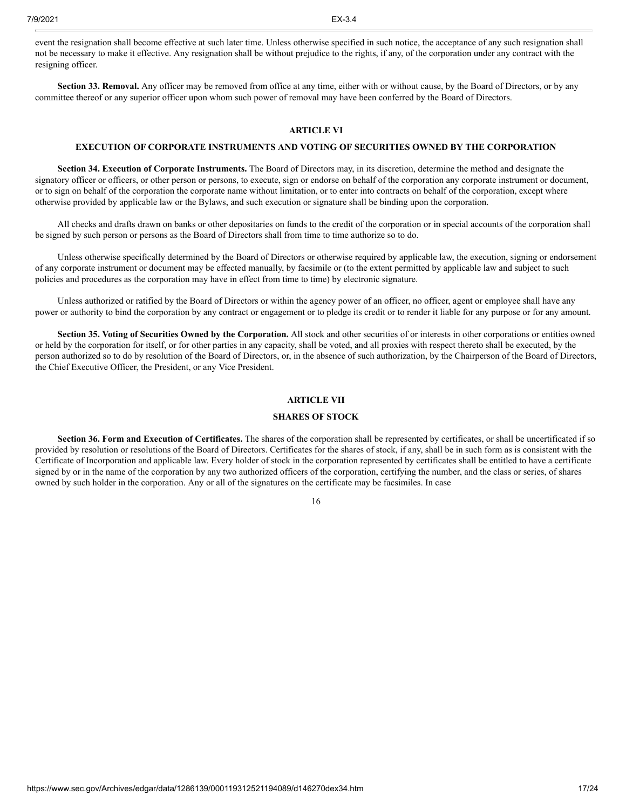event the resignation shall become effective at such later time. Unless otherwise specified in such notice, the acceptance of any such resignation shall not be necessary to make it effective. Any resignation shall be without prejudice to the rights, if any, of the corporation under any contract with the resigning officer.

**Section 33. Removal.** Any officer may be removed from office at any time, either with or without cause, by the Board of Directors, or by any committee thereof or any superior officer upon whom such power of removal may have been conferred by the Board of Directors.

# **ARTICLE VI**

#### **EXECUTION OF CORPORATE INSTRUMENTS AND VOTING OF SECURITIES OWNED BY THE CORPORATION**

**Section 34. Execution of Corporate Instruments.** The Board of Directors may, in its discretion, determine the method and designate the signatory officer or officers, or other person or persons, to execute, sign or endorse on behalf of the corporation any corporate instrument or document, or to sign on behalf of the corporation the corporate name without limitation, or to enter into contracts on behalf of the corporation, except where otherwise provided by applicable law or the Bylaws, and such execution or signature shall be binding upon the corporation.

All checks and drafts drawn on banks or other depositaries on funds to the credit of the corporation or in special accounts of the corporation shall be signed by such person or persons as the Board of Directors shall from time to time authorize so to do.

Unless otherwise specifically determined by the Board of Directors or otherwise required by applicable law, the execution, signing or endorsement of any corporate instrument or document may be effected manually, by facsimile or (to the extent permitted by applicable law and subject to such policies and procedures as the corporation may have in effect from time to time) by electronic signature.

Unless authorized or ratified by the Board of Directors or within the agency power of an officer, no officer, agent or employee shall have any power or authority to bind the corporation by any contract or engagement or to pledge its credit or to render it liable for any purpose or for any amount.

**Section 35. Voting of Securities Owned by the Corporation.** All stock and other securities of or interests in other corporations or entities owned or held by the corporation for itself, or for other parties in any capacity, shall be voted, and all proxies with respect thereto shall be executed, by the person authorized so to do by resolution of the Board of Directors, or, in the absence of such authorization, by the Chairperson of the Board of Directors, the Chief Executive Officer, the President, or any Vice President.

# **ARTICLE VII**

# **SHARES OF STOCK**

**Section 36. Form and Execution of Certificates.** The shares of the corporation shall be represented by certificates, or shall be uncertificated if so provided by resolution or resolutions of the Board of Directors. Certificates for the shares of stock, if any, shall be in such form as is consistent with the Certificate of Incorporation and applicable law. Every holder of stock in the corporation represented by certificates shall be entitled to have a certificate signed by or in the name of the corporation by any two authorized officers of the corporation, certifying the number, and the class or series, of shares owned by such holder in the corporation. Any or all of the signatures on the certificate may be facsimiles. In case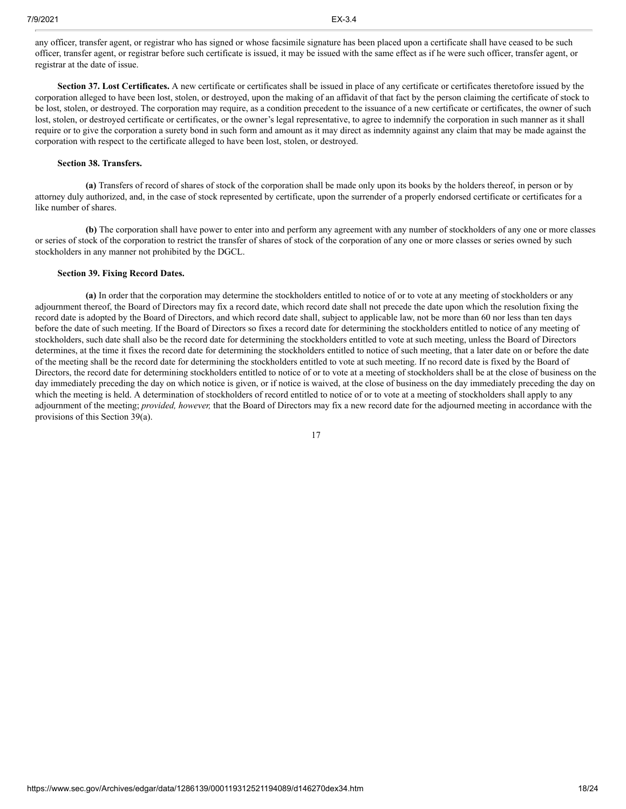any officer, transfer agent, or registrar who has signed or whose facsimile signature has been placed upon a certificate shall have ceased to be such officer, transfer agent, or registrar before such certificate is issued, it may be issued with the same effect as if he were such officer, transfer agent, or registrar at the date of issue.

**Section 37. Lost Certificates.** A new certificate or certificates shall be issued in place of any certificate or certificates theretofore issued by the corporation alleged to have been lost, stolen, or destroyed, upon the making of an affidavit of that fact by the person claiming the certificate of stock to be lost, stolen, or destroyed. The corporation may require, as a condition precedent to the issuance of a new certificate or certificates, the owner of such lost, stolen, or destroyed certificate or certificates, or the owner's legal representative, to agree to indemnify the corporation in such manner as it shall require or to give the corporation a surety bond in such form and amount as it may direct as indemnity against any claim that may be made against the corporation with respect to the certificate alleged to have been lost, stolen, or destroyed.

# **Section 38. Transfers.**

**(a)** Transfers of record of shares of stock of the corporation shall be made only upon its books by the holders thereof, in person or by attorney duly authorized, and, in the case of stock represented by certificate, upon the surrender of a properly endorsed certificate or certificates for a like number of shares.

**(b)** The corporation shall have power to enter into and perform any agreement with any number of stockholders of any one or more classes or series of stock of the corporation to restrict the transfer of shares of stock of the corporation of any one or more classes or series owned by such stockholders in any manner not prohibited by the DGCL.

# **Section 39. Fixing Record Dates.**

**(a)** In order that the corporation may determine the stockholders entitled to notice of or to vote at any meeting of stockholders or any adjournment thereof, the Board of Directors may fix a record date, which record date shall not precede the date upon which the resolution fixing the record date is adopted by the Board of Directors, and which record date shall, subject to applicable law, not be more than 60 nor less than ten days before the date of such meeting. If the Board of Directors so fixes a record date for determining the stockholders entitled to notice of any meeting of stockholders, such date shall also be the record date for determining the stockholders entitled to vote at such meeting, unless the Board of Directors determines, at the time it fixes the record date for determining the stockholders entitled to notice of such meeting, that a later date on or before the date of the meeting shall be the record date for determining the stockholders entitled to vote at such meeting. If no record date is fixed by the Board of Directors, the record date for determining stockholders entitled to notice of or to vote at a meeting of stockholders shall be at the close of business on the day immediately preceding the day on which notice is given, or if notice is waived, at the close of business on the day immediately preceding the day on which the meeting is held. A determination of stockholders of record entitled to notice of or to vote at a meeting of stockholders shall apply to any adjournment of the meeting; *provided, however,* that the Board of Directors may fix a new record date for the adjourned meeting in accordance with the provisions of this Section 39(a).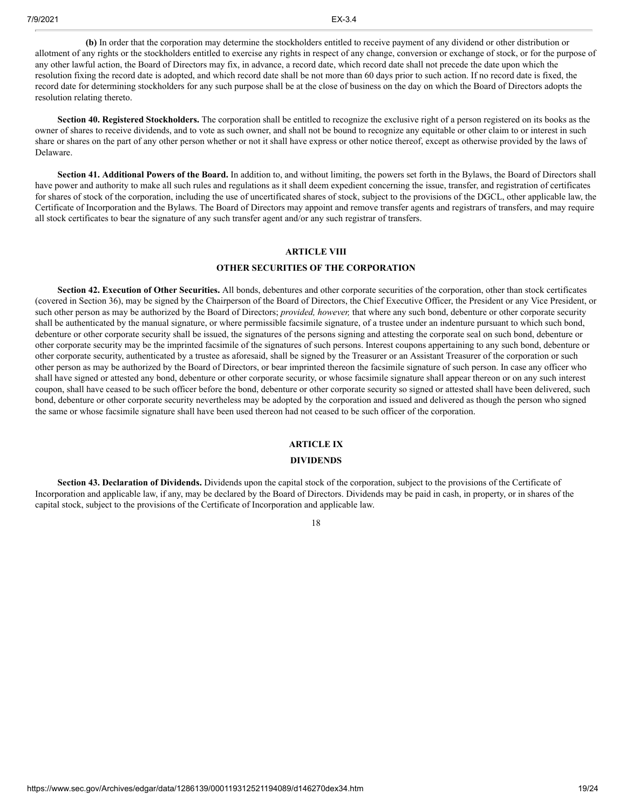**(b)** In order that the corporation may determine the stockholders entitled to receive payment of any dividend or other distribution or allotment of any rights or the stockholders entitled to exercise any rights in respect of any change, conversion or exchange of stock, or for the purpose of any other lawful action, the Board of Directors may fix, in advance, a record date, which record date shall not precede the date upon which the resolution fixing the record date is adopted, and which record date shall be not more than 60 days prior to such action. If no record date is fixed, the record date for determining stockholders for any such purpose shall be at the close of business on the day on which the Board of Directors adopts the resolution relating thereto.

**Section 40. Registered Stockholders.** The corporation shall be entitled to recognize the exclusive right of a person registered on its books as the owner of shares to receive dividends, and to vote as such owner, and shall not be bound to recognize any equitable or other claim to or interest in such share or shares on the part of any other person whether or not it shall have express or other notice thereof, except as otherwise provided by the laws of Delaware.

**Section 41. Additional Powers of the Board.** In addition to, and without limiting, the powers set forth in the Bylaws, the Board of Directors shall have power and authority to make all such rules and regulations as it shall deem expedient concerning the issue, transfer, and registration of certificates for shares of stock of the corporation, including the use of uncertificated shares of stock, subject to the provisions of the DGCL, other applicable law, the Certificate of Incorporation and the Bylaws. The Board of Directors may appoint and remove transfer agents and registrars of transfers, and may require all stock certificates to bear the signature of any such transfer agent and/or any such registrar of transfers.

## **ARTICLE VIII**

## **OTHER SECURITIES OF THE CORPORATION**

**Section 42. Execution of Other Securities.** All bonds, debentures and other corporate securities of the corporation, other than stock certificates (covered in Section 36), may be signed by the Chairperson of the Board of Directors, the Chief Executive Officer, the President or any Vice President, or such other person as may be authorized by the Board of Directors; *provided, however,* that where any such bond, debenture or other corporate security shall be authenticated by the manual signature, or where permissible facsimile signature, of a trustee under an indenture pursuant to which such bond, debenture or other corporate security shall be issued, the signatures of the persons signing and attesting the corporate seal on such bond, debenture or other corporate security may be the imprinted facsimile of the signatures of such persons. Interest coupons appertaining to any such bond, debenture or other corporate security, authenticated by a trustee as aforesaid, shall be signed by the Treasurer or an Assistant Treasurer of the corporation or such other person as may be authorized by the Board of Directors, or bear imprinted thereon the facsimile signature of such person. In case any officer who shall have signed or attested any bond, debenture or other corporate security, or whose facsimile signature shall appear thereon or on any such interest coupon, shall have ceased to be such officer before the bond, debenture or other corporate security so signed or attested shall have been delivered, such bond, debenture or other corporate security nevertheless may be adopted by the corporation and issued and delivered as though the person who signed the same or whose facsimile signature shall have been used thereon had not ceased to be such officer of the corporation.

# **ARTICLE IX**

#### **DIVIDENDS**

**Section 43. Declaration of Dividends.** Dividends upon the capital stock of the corporation, subject to the provisions of the Certificate of Incorporation and applicable law, if any, may be declared by the Board of Directors. Dividends may be paid in cash, in property, or in shares of the capital stock, subject to the provisions of the Certificate of Incorporation and applicable law.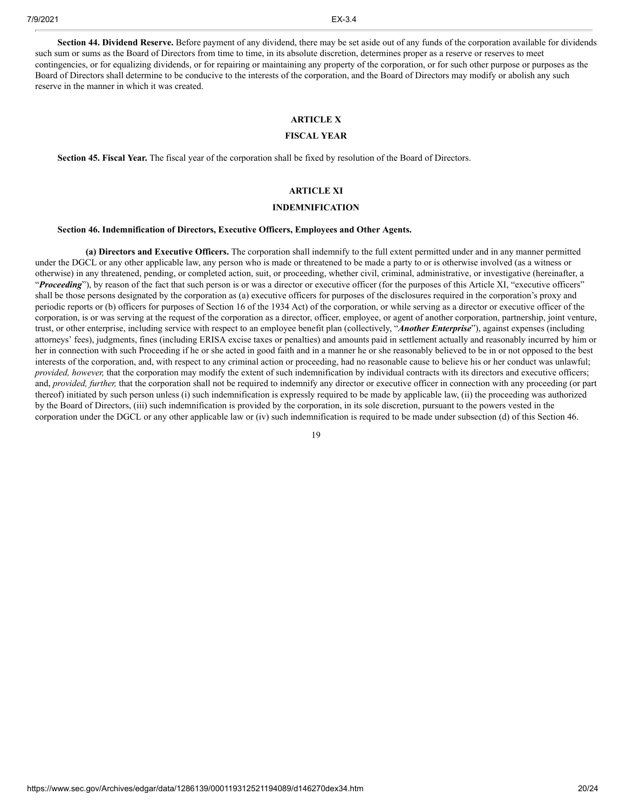**Section 44. Dividend Reserve.** Before payment of any dividend, there may be set aside out of any funds of the corporation available for dividends such sum or sums as the Board of Directors from time to time, in its absolute discretion, determines proper as a reserve or reserves to meet contingencies, or for equalizing dividends, or for repairing or maintaining any property of the corporation, or for such other purpose or purposes as the Board of Directors shall determine to be conducive to the interests of the corporation, and the Board of Directors may modify or abolish any such reserve in the manner in which it was created.

# **ARTICLE X**

# **FISCAL YEAR**

**Section 45. Fiscal Year.** The fiscal year of the corporation shall be fixed by resolution of the Board of Directors.

# **ARTICLE XI**

### **INDEMNIFICATION**

#### **Section 46. Indemnification of Directors, Executive Officers, Employees and Other Agents.**

**(a) Directors and Executive Officers.** The corporation shall indemnify to the full extent permitted under and in any manner permitted under the DGCL or any other applicable law, any person who is made or threatened to be made a party to or is otherwise involved (as a witness or otherwise) in any threatened, pending, or completed action, suit, or proceeding, whether civil, criminal, administrative, or investigative (hereinafter, a "Proceeding"), by reason of the fact that such person is or was a director or executive officer (for the purposes of this Article XI, "executive officers" shall be those persons designated by the corporation as (a) executive officers for purposes of the disclosures required in the corporation's proxy and periodic reports or (b) officers for purposes of Section 16 of the 1934 Act) of the corporation, or while serving as a director or executive officer of the corporation, is or was serving at the request of the corporation as a director, officer, employee, or agent of another corporation, partnership, joint venture, trust, or other enterprise, including service with respect to an employee benefit plan (collectively, "*Another Enterprise*"), against expenses (including attorneys' fees), judgments, fines (including ERISA excise taxes or penalties) and amounts paid in settlement actually and reasonably incurred by him or her in connection with such Proceeding if he or she acted in good faith and in a manner he or she reasonably believed to be in or not opposed to the best interests of the corporation, and, with respect to any criminal action or proceeding, had no reasonable cause to believe his or her conduct was unlawful; *provided, however,* that the corporation may modify the extent of such indemnification by individual contracts with its directors and executive officers; and, *provided, further,* that the corporation shall not be required to indemnify any director or executive officer in connection with any proceeding (or part thereof) initiated by such person unless (i) such indemnification is expressly required to be made by applicable law, (ii) the proceeding was authorized by the Board of Directors, (iii) such indemnification is provided by the corporation, in its sole discretion, pursuant to the powers vested in the corporation under the DGCL or any other applicable law or (iv) such indemnification is required to be made under subsection (d) of this Section 46.

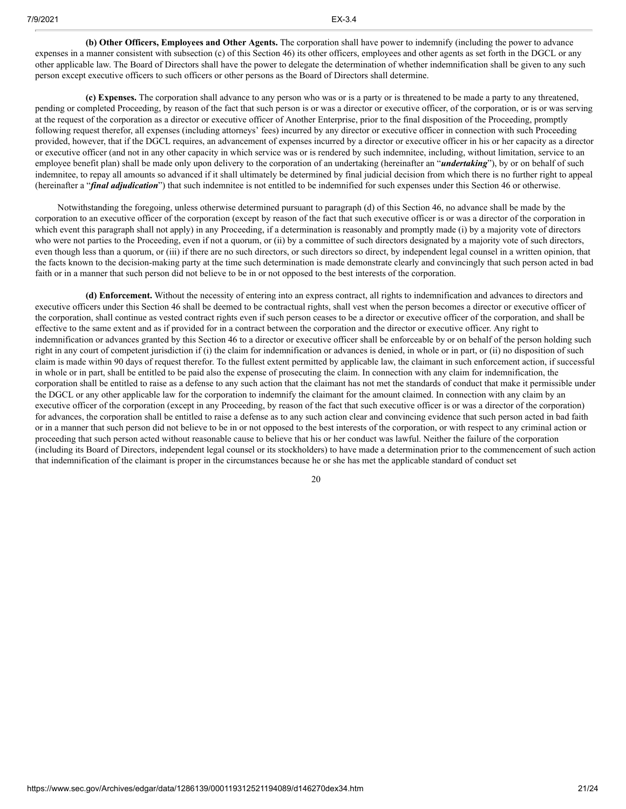**(b) Other Officers, Employees and Other Agents.** The corporation shall have power to indemnify (including the power to advance expenses in a manner consistent with subsection (c) of this Section 46) its other officers, employees and other agents as set forth in the DGCL or any other applicable law. The Board of Directors shall have the power to delegate the determination of whether indemnification shall be given to any such person except executive officers to such officers or other persons as the Board of Directors shall determine.

**(c) Expenses.** The corporation shall advance to any person who was or is a party or is threatened to be made a party to any threatened, pending or completed Proceeding, by reason of the fact that such person is or was a director or executive officer, of the corporation, or is or was serving at the request of the corporation as a director or executive officer of Another Enterprise, prior to the final disposition of the Proceeding, promptly following request therefor, all expenses (including attorneys' fees) incurred by any director or executive officer in connection with such Proceeding provided, however, that if the DGCL requires, an advancement of expenses incurred by a director or executive officer in his or her capacity as a director or executive officer (and not in any other capacity in which service was or is rendered by such indemnitee, including, without limitation, service to an employee benefit plan) shall be made only upon delivery to the corporation of an undertaking (hereinafter an "*undertaking*"), by or on behalf of such indemnitee, to repay all amounts so advanced if it shall ultimately be determined by final judicial decision from which there is no further right to appeal (hereinafter a "*final adjudication*") that such indemnitee is not entitled to be indemnified for such expenses under this Section 46 or otherwise.

Notwithstanding the foregoing, unless otherwise determined pursuant to paragraph (d) of this Section 46, no advance shall be made by the corporation to an executive officer of the corporation (except by reason of the fact that such executive officer is or was a director of the corporation in which event this paragraph shall not apply) in any Proceeding, if a determination is reasonably and promptly made (i) by a majority vote of directors who were not parties to the Proceeding, even if not a quorum, or (ii) by a committee of such directors designated by a majority vote of such directors, even though less than a quorum, or (iii) if there are no such directors, or such directors so direct, by independent legal counsel in a written opinion, that the facts known to the decision-making party at the time such determination is made demonstrate clearly and convincingly that such person acted in bad faith or in a manner that such person did not believe to be in or not opposed to the best interests of the corporation.

**(d) Enforcement.** Without the necessity of entering into an express contract, all rights to indemnification and advances to directors and executive officers under this Section 46 shall be deemed to be contractual rights, shall vest when the person becomes a director or executive officer of the corporation, shall continue as vested contract rights even if such person ceases to be a director or executive officer of the corporation, and shall be effective to the same extent and as if provided for in a contract between the corporation and the director or executive officer. Any right to indemnification or advances granted by this Section 46 to a director or executive officer shall be enforceable by or on behalf of the person holding such right in any court of competent jurisdiction if (i) the claim for indemnification or advances is denied, in whole or in part, or (ii) no disposition of such claim is made within 90 days of request therefor. To the fullest extent permitted by applicable law, the claimant in such enforcement action, if successful in whole or in part, shall be entitled to be paid also the expense of prosecuting the claim. In connection with any claim for indemnification, the corporation shall be entitled to raise as a defense to any such action that the claimant has not met the standards of conduct that make it permissible under the DGCL or any other applicable law for the corporation to indemnify the claimant for the amount claimed. In connection with any claim by an executive officer of the corporation (except in any Proceeding, by reason of the fact that such executive officer is or was a director of the corporation) for advances, the corporation shall be entitled to raise a defense as to any such action clear and convincing evidence that such person acted in bad faith or in a manner that such person did not believe to be in or not opposed to the best interests of the corporation, or with respect to any criminal action or proceeding that such person acted without reasonable cause to believe that his or her conduct was lawful. Neither the failure of the corporation (including its Board of Directors, independent legal counsel or its stockholders) to have made a determination prior to the commencement of such action that indemnification of the claimant is proper in the circumstances because he or she has met the applicable standard of conduct set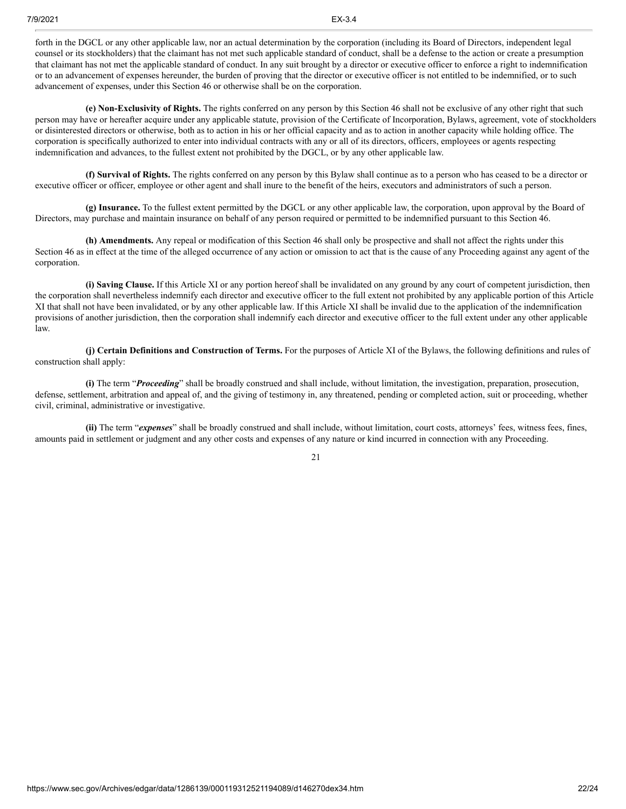forth in the DGCL or any other applicable law, nor an actual determination by the corporation (including its Board of Directors, independent legal counsel or its stockholders) that the claimant has not met such applicable standard of conduct, shall be a defense to the action or create a presumption that claimant has not met the applicable standard of conduct. In any suit brought by a director or executive officer to enforce a right to indemnification or to an advancement of expenses hereunder, the burden of proving that the director or executive officer is not entitled to be indemnified, or to such advancement of expenses, under this Section 46 or otherwise shall be on the corporation.

**(e) Non-Exclusivity of Rights.** The rights conferred on any person by this Section 46 shall not be exclusive of any other right that such person may have or hereafter acquire under any applicable statute, provision of the Certificate of Incorporation, Bylaws, agreement, vote of stockholders or disinterested directors or otherwise, both as to action in his or her official capacity and as to action in another capacity while holding office. The corporation is specifically authorized to enter into individual contracts with any or all of its directors, officers, employees or agents respecting indemnification and advances, to the fullest extent not prohibited by the DGCL, or by any other applicable law.

**(f) Survival of Rights.** The rights conferred on any person by this Bylaw shall continue as to a person who has ceased to be a director or executive officer or officer, employee or other agent and shall inure to the benefit of the heirs, executors and administrators of such a person.

**(g) Insurance.** To the fullest extent permitted by the DGCL or any other applicable law, the corporation, upon approval by the Board of Directors, may purchase and maintain insurance on behalf of any person required or permitted to be indemnified pursuant to this Section 46.

**(h) Amendments.** Any repeal or modification of this Section 46 shall only be prospective and shall not affect the rights under this Section 46 as in effect at the time of the alleged occurrence of any action or omission to act that is the cause of any Proceeding against any agent of the corporation.

**(i) Saving Clause.** If this Article XI or any portion hereof shall be invalidated on any ground by any court of competent jurisdiction, then the corporation shall nevertheless indemnify each director and executive officer to the full extent not prohibited by any applicable portion of this Article XI that shall not have been invalidated, or by any other applicable law. If this Article XI shall be invalid due to the application of the indemnification provisions of another jurisdiction, then the corporation shall indemnify each director and executive officer to the full extent under any other applicable law.

**(j) Certain Definitions and Construction of Terms.** For the purposes of Article XI of the Bylaws, the following definitions and rules of construction shall apply:

**(i)** The term "*Proceeding*" shall be broadly construed and shall include, without limitation, the investigation, preparation, prosecution, defense, settlement, arbitration and appeal of, and the giving of testimony in, any threatened, pending or completed action, suit or proceeding, whether civil, criminal, administrative or investigative.

**(ii)** The term "*expenses*" shall be broadly construed and shall include, without limitation, court costs, attorneys' fees, witness fees, fines, amounts paid in settlement or judgment and any other costs and expenses of any nature or kind incurred in connection with any Proceeding.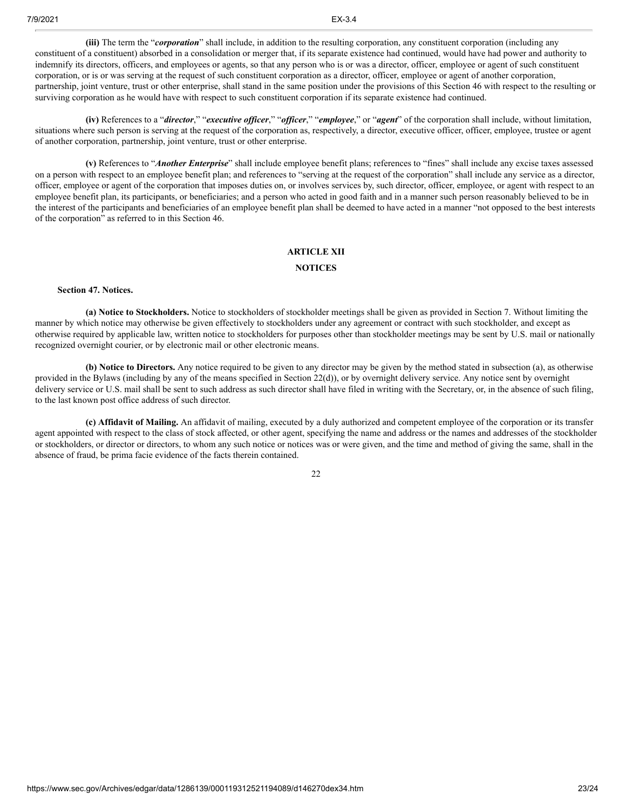**(iii)** The term the "*corporation*" shall include, in addition to the resulting corporation, any constituent corporation (including any constituent of a constituent) absorbed in a consolidation or merger that, if its separate existence had continued, would have had power and authority to indemnify its directors, officers, and employees or agents, so that any person who is or was a director, officer, employee or agent of such constituent corporation, or is or was serving at the request of such constituent corporation as a director, officer, employee or agent of another corporation, partnership, joint venture, trust or other enterprise, shall stand in the same position under the provisions of this Section 46 with respect to the resulting or surviving corporation as he would have with respect to such constituent corporation if its separate existence had continued.

**(iv)** References to a "*director*," "*executive of icer*," "*of icer*," "*employee*," or "*agent*" of the corporation shall include, without limitation, situations where such person is serving at the request of the corporation as, respectively, a director, executive officer, officer, employee, trustee or agent of another corporation, partnership, joint venture, trust or other enterprise.

**(v)** References to "*Another Enterprise*" shall include employee benefit plans; references to "fines" shall include any excise taxes assessed on a person with respect to an employee benefit plan; and references to "serving at the request of the corporation" shall include any service as a director, officer, employee or agent of the corporation that imposes duties on, or involves services by, such director, officer, employee, or agent with respect to an employee benefit plan, its participants, or beneficiaries; and a person who acted in good faith and in a manner such person reasonably believed to be in the interest of the participants and beneficiaries of an employee benefit plan shall be deemed to have acted in a manner "not opposed to the best interests of the corporation" as referred to in this Section 46.

# **ARTICLE XII**

# **NOTICES**

# **Section 47. Notices.**

**(a) Notice to Stockholders.** Notice to stockholders of stockholder meetings shall be given as provided in Section 7. Without limiting the manner by which notice may otherwise be given effectively to stockholders under any agreement or contract with such stockholder, and except as otherwise required by applicable law, written notice to stockholders for purposes other than stockholder meetings may be sent by U.S. mail or nationally recognized overnight courier, or by electronic mail or other electronic means.

**(b) Notice to Directors.** Any notice required to be given to any director may be given by the method stated in subsection (a), as otherwise provided in the Bylaws (including by any of the means specified in Section 22(d)), or by overnight delivery service. Any notice sent by overnight delivery service or U.S. mail shall be sent to such address as such director shall have filed in writing with the Secretary, or, in the absence of such filing, to the last known post office address of such director.

**(c) Affidavit of Mailing.** An affidavit of mailing, executed by a duly authorized and competent employee of the corporation or its transfer agent appointed with respect to the class of stock affected, or other agent, specifying the name and address or the names and addresses of the stockholder or stockholders, or director or directors, to whom any such notice or notices was or were given, and the time and method of giving the same, shall in the absence of fraud, be prima facie evidence of the facts therein contained.